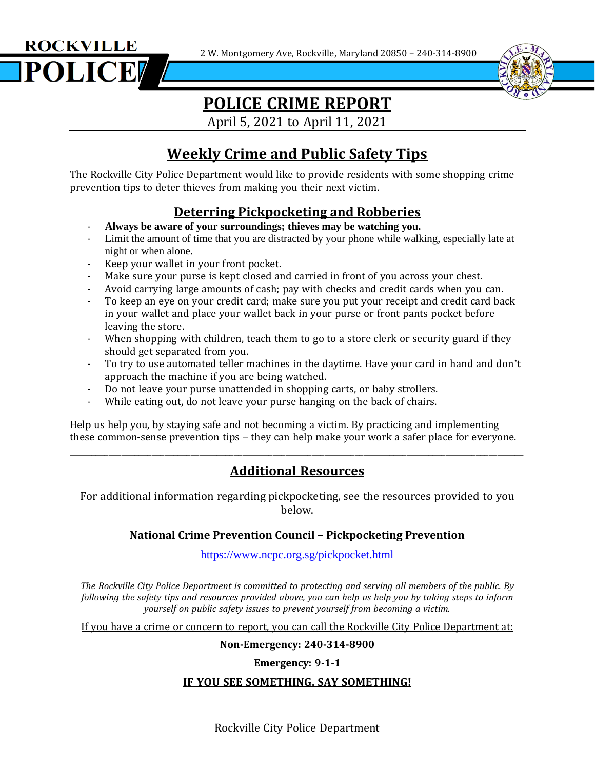2 W. Montgomery Ave, Rockville, Maryland 20850 – 240-314-8900





# **POLICE CRIME REPORT**

April 5, 2021 to April 11, 2021

## **Weekly Crime and Public Safety Tips**

The Rockville City Police Department would like to provide residents with some shopping crime prevention tips to deter thieves from making you their next victim.

### **Deterring Pickpocketing and Robberies**

- **Always be aware of your surroundings; thieves may be watching you.**
- Limit the amount of time that you are distracted by your phone while walking, especially late at night or when alone.
- Keep your wallet in your front pocket.
- Make sure your purse is kept closed and carried in front of you across your chest.
- Avoid carrying large amounts of cash; pay with checks and credit cards when you can.
- To keep an eye on your credit card; make sure you put your receipt and credit card back in your wallet and place your wallet back in your purse or front pants pocket before leaving the store.
- When shopping with children, teach them to go to a store clerk or security guard if they should get separated from you.
- To try to use automated teller machines in the daytime. Have your card in hand and don't approach the machine if you are being watched.
- Do not leave your purse unattended in shopping carts, or baby strollers.
- While eating out, do not leave your purse hanging on the back of chairs.

Help us help you, by staying safe and not becoming a victim. By practicing and implementing these common-sense prevention tips – they can help make your work a safer place for everyone.

### **Additional Resources**

\_\_\_\_\_\_\_\_\_\_\_\_\_\_\_\_\_\_\_\_\_\_\_\_\_\_\_\_\_\_\_\_\_\_\_\_\_\_\_\_\_\_\_\_\_\_\_\_\_\_\_\_\_\_\_\_\_\_\_\_\_\_\_\_\_\_\_\_\_\_\_\_\_\_\_\_\_\_\_\_\_\_\_\_\_\_\_\_\_\_\_\_\_\_\_\_\_\_\_\_\_\_\_\_\_

For additional information regarding pickpocketing, see the resources provided to you below.

#### **National Crime Prevention Council – Pickpocketing Prevention**

<https://www.ncpc.org.sg/pickpocket.html>

*The Rockville City Police Department is committed to protecting and serving all members of the public. By* following the safety tips and resources provided above, you can help us help you by taking steps to inform *yourself on public safety issues to prevent yourself from becoming a victim.*

If you have a crime or concern to report, you can call the Rockville City Police Department at:

**Non-Emergency: 240-314-8900**

**Emergency: 9-1-1**

#### **IF YOU SEE SOMETHING, SAY SOMETHING!**